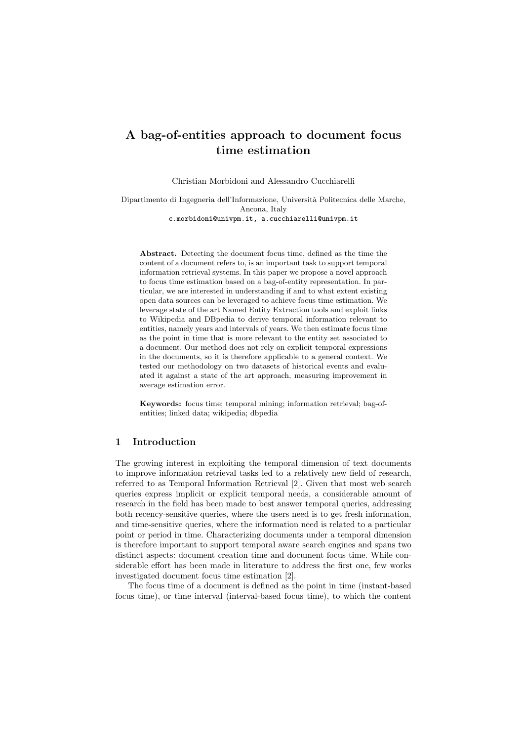# A bag-of-entities approach to document focus time estimation

Christian Morbidoni and Alessandro Cucchiarelli

Dipartimento di Ingegneria dell'Informazione, Universit`a Politecnica delle Marche, Ancona, Italy c.morbidoni@univpm.it, a.cucchiarelli@univpm.it

Abstract. Detecting the document focus time, defined as the time the content of a document refers to, is an important task to support temporal information retrieval systems. In this paper we propose a novel approach to focus time estimation based on a bag-of-entity representation. In particular, we are interested in understanding if and to what extent existing open data sources can be leveraged to achieve focus time estimation. We leverage state of the art Named Entity Extraction tools and exploit links to Wikipedia and DBpedia to derive temporal information relevant to entities, namely years and intervals of years. We then estimate focus time as the point in time that is more relevant to the entity set associated to a document. Our method does not rely on explicit temporal expressions in the documents, so it is therefore applicable to a general context. We tested our methodology on two datasets of historical events and evaluated it against a state of the art approach, measuring improvement in average estimation error.

Keywords: focus time; temporal mining; information retrieval; bag-ofentities; linked data; wikipedia; dbpedia

# 1 Introduction

The growing interest in exploiting the temporal dimension of text documents to improve information retrieval tasks led to a relatively new field of research, referred to as Temporal Information Retrieval [2]. Given that most web search queries express implicit or explicit temporal needs, a considerable amount of research in the field has been made to best answer temporal queries, addressing both recency-sensitive queries, where the users need is to get fresh information, and time-sensitive queries, where the information need is related to a particular point or period in time. Characterizing documents under a temporal dimension is therefore important to support temporal aware search engines and spans two distinct aspects: document creation time and document focus time. While considerable effort has been made in literature to address the first one, few works investigated document focus time estimation [2].

The focus time of a document is defined as the point in time (instant-based focus time), or time interval (interval-based focus time), to which the content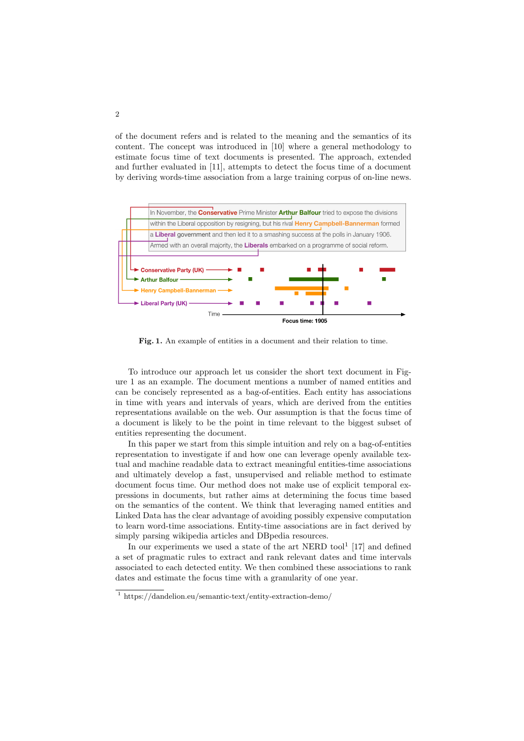of the document refers and is related to the meaning and the semantics of its content. The concept was introduced in [10] where a general methodology to estimate focus time of text documents is presented. The approach, extended and further evaluated in [11], attempts to detect the focus time of a document by deriving words-time association from a large training corpus of on-line news.



Fig. 1. An example of entities in a document and their relation to time.

To introduce our approach let us consider the short text document in Figure 1 as an example. The document mentions a number of named entities and can be concisely represented as a bag-of-entities. Each entity has associations in time with years and intervals of years, which are derived from the entities representations available on the web. Our assumption is that the focus time of a document is likely to be the point in time relevant to the biggest subset of entities representing the document.

In this paper we start from this simple intuition and rely on a bag-of-entities representation to investigate if and how one can leverage openly available textual and machine readable data to extract meaningful entities-time associations and ultimately develop a fast, unsupervised and reliable method to estimate document focus time. Our method does not make use of explicit temporal expressions in documents, but rather aims at determining the focus time based on the semantics of the content. We think that leveraging named entities and Linked Data has the clear advantage of avoiding possibly expensive computation to learn word-time associations. Entity-time associations are in fact derived by simply parsing wikipedia articles and DBpedia resources.

In our experiments we used a state of the art NERD tool<sup>1</sup> [17] and defined a set of pragmatic rules to extract and rank relevant dates and time intervals associated to each detected entity. We then combined these associations to rank dates and estimate the focus time with a granularity of one year.

<sup>1</sup> https://dandelion.eu/semantic-text/entity-extraction-demo/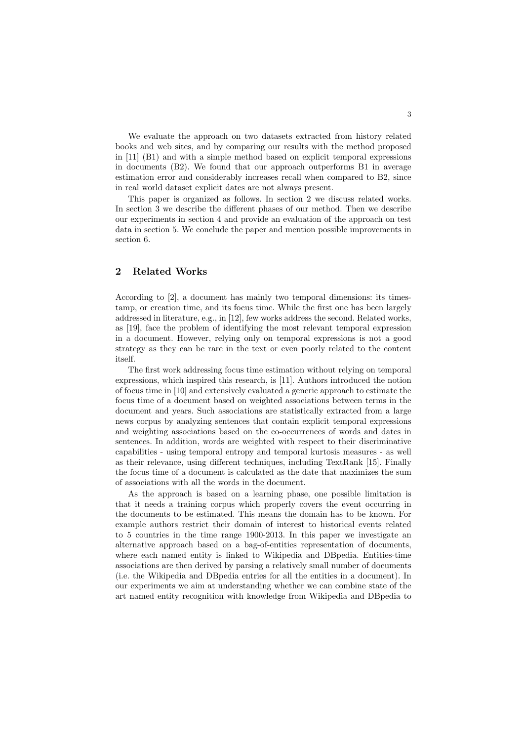We evaluate the approach on two datasets extracted from history related books and web sites, and by comparing our results with the method proposed in [11] (B1) and with a simple method based on explicit temporal expressions in documents (B2). We found that our approach outperforms B1 in average estimation error and considerably increases recall when compared to B2, since in real world dataset explicit dates are not always present.

This paper is organized as follows. In section 2 we discuss related works. In section 3 we describe the different phases of our method. Then we describe our experiments in section 4 and provide an evaluation of the approach on test data in section 5. We conclude the paper and mention possible improvements in section 6.

# 2 Related Works

According to [2], a document has mainly two temporal dimensions: its timestamp, or creation time, and its focus time. While the first one has been largely addressed in literature, e.g., in [12], few works address the second. Related works, as [19], face the problem of identifying the most relevant temporal expression in a document. However, relying only on temporal expressions is not a good strategy as they can be rare in the text or even poorly related to the content itself.

The first work addressing focus time estimation without relying on temporal expressions, which inspired this research, is [11]. Authors introduced the notion of focus time in [10] and extensively evaluated a generic approach to estimate the focus time of a document based on weighted associations between terms in the document and years. Such associations are statistically extracted from a large news corpus by analyzing sentences that contain explicit temporal expressions and weighting associations based on the co-occurrences of words and dates in sentences. In addition, words are weighted with respect to their discriminative capabilities - using temporal entropy and temporal kurtosis measures - as well as their relevance, using different techniques, including TextRank  $[15]$ . Finally the focus time of a document is calculated as the date that maximizes the sum of associations with all the words in the document.

As the approach is based on a learning phase, one possible limitation is that it needs a training corpus which properly covers the event occurring in the documents to be estimated. This means the domain has to be known. For example authors restrict their domain of interest to historical events related to 5 countries in the time range 1900-2013. In this paper we investigate an alternative approach based on a bag-of-entities representation of documents, where each named entity is linked to Wikipedia and DBpedia. Entities-time associations are then derived by parsing a relatively small number of documents (i.e. the Wikipedia and DBpedia entries for all the entities in a document). In our experiments we aim at understanding whether we can combine state of the art named entity recognition with knowledge from Wikipedia and DBpedia to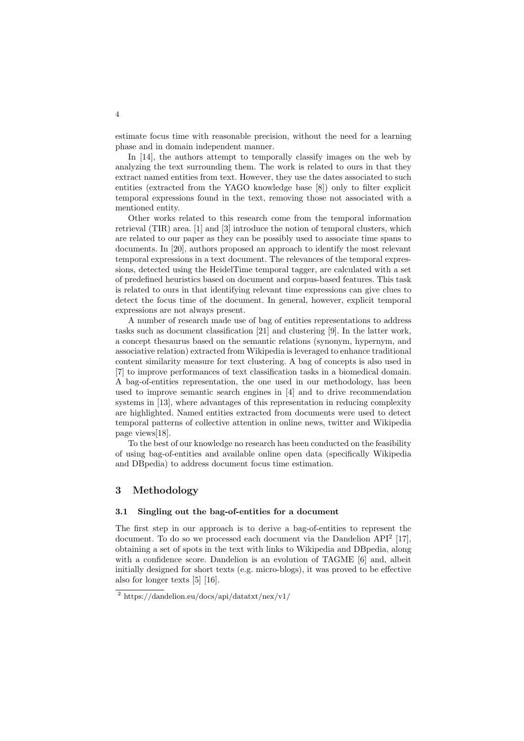estimate focus time with reasonable precision, without the need for a learning phase and in domain independent manner.

In [14], the authors attempt to temporally classify images on the web by analyzing the text surrounding them. The work is related to ours in that they extract named entities from text. However, they use the dates associated to such entities (extracted from the YAGO knowledge base [8]) only to filter explicit temporal expressions found in the text, removing those not associated with a mentioned entity.

Other works related to this research come from the temporal information retrieval (TIR) area. [1] and [3] introduce the notion of temporal clusters, which are related to our paper as they can be possibly used to associate time spans to documents. In [20], authors proposed an approach to identify the most relevant temporal expressions in a text document. The relevances of the temporal expressions, detected using the HeidelTime temporal tagger, are calculated with a set of predefined heuristics based on document and corpus-based features. This task is related to ours in that identifying relevant time expressions can give clues to detect the focus time of the document. In general, however, explicit temporal expressions are not always present.

A number of research made use of bag of entities representations to address tasks such as document classification [21] and clustering [9]. In the latter work, a concept thesaurus based on the semantic relations (synonym, hypernym, and associative relation) extracted from Wikipedia is leveraged to enhance traditional content similarity measure for text clustering. A bag of concepts is also used in [7] to improve performances of text classification tasks in a biomedical domain. A bag-of-entities representation, the one used in our methodology, has been used to improve semantic search engines in [4] and to drive recommendation systems in [13], where advantages of this representation in reducing complexity are highlighted. Named entities extracted from documents were used to detect temporal patterns of collective attention in online news, twitter and Wikipedia page views[18].

To the best of our knowledge no research has been conducted on the feasibility of using bag-of-entities and available online open data (specifically Wikipedia and DBpedia) to address document focus time estimation.

# 3 Methodology

#### 3.1 Singling out the bag-of-entities for a document

The first step in our approach is to derive a bag-of-entities to represent the document. To do so we processed each document via the Dandelion API<sup>2</sup> [17], obtaining a set of spots in the text with links to Wikipedia and DBpedia, along with a confidence score. Dandelion is an evolution of TAGME [6] and, albeit initially designed for short texts (e.g. micro-blogs), it was proved to be effective also for longer texts [5] [16].

<sup>2</sup> https://dandelion.eu/docs/api/datatxt/nex/v1/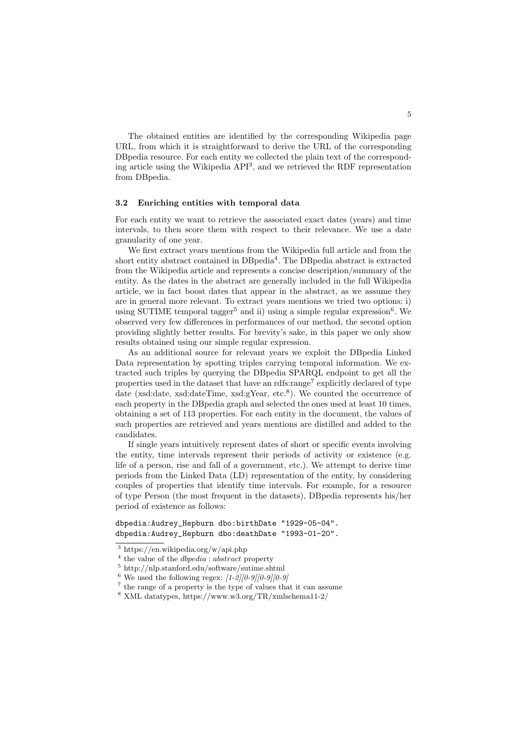The obtained entities are identified by the corresponding Wikipedia page URL, from which it is straightforward to derive the URL of the corresponding DBpedia resource. For each entity we collected the plain text of the corresponding article using the Wikipedia API<sup>3</sup>, and we retrieved the RDF representation from DBpedia.

#### 3.2 Enriching entities with temporal data

For each entity we want to retrieve the associated exact dates (years) and time intervals, to then score them with respect to their relevance. We use a date granularity of one year.

We first extract years mentions from the Wikipedia full article and from the short entity abstract contained in DBpedia<sup>4</sup>. The DBpedia abstract is extracted from the Wikipedia article and represents a concise description/summary of the entity. As the dates in the abstract are generally included in the full Wikipedia article, we in fact boost dates that appear in the abstract, as we assume they are in general more relevant. To extract years mentions we tried two options: i) using SUTIME temporal tagger<sup>5</sup> and ii) using a simple regular expression<sup>6</sup>. We observed very few differences in performances of our method, the second option providing slightly better results. For brevity's sake, in this paper we only show results obtained using our simple regular expression.

As an additional source for relevant years we exploit the DBpedia Linked Data representation by spotting triples carrying temporal information. We extracted such triples by querying the DBpedia SPARQL endpoint to get all the properties used in the dataset that have an rdfs:range<sup>7</sup> explicitly declared of type date (xsd:date, xsd:dateTime, xsd:gYear, etc.<sup>8</sup>). We counted the occurrence of each property in the DBpedia graph and selected the ones used at least 10 times, obtaining a set of 113 properties. For each entity in the document, the values of such properties are retrieved and years mentions are distilled and added to the candidates.

If single years intuitively represent dates of short or specific events involving the entity, time intervals represent their periods of activity or existence (e.g. life of a person, rise and fall of a government, etc.). We attempt to derive time periods from the Linked Data (LD) representation of the entity, by considering couples of properties that identify time intervals. For example, for a resource of type Person (the most frequent in the datasets), DBpedia represents his/her period of existence as follows:

dbpedia:Audrey\_Hepburn dbo:birthDate "1929-05-04". dbpedia:Audrey\_Hepburn dbo:deathDate "1993-01-20".

<sup>3</sup> https://en.wikipedia.org/w/api.php

<sup>4</sup> the value of the *dbpedia* : *abstract* property

 $^5$ http://nlp.stanford.edu/software/sutime.shtml

<sup>6</sup> We used the following regex: *[1-2][0-9][0-9][0-9]*

 $^7$  the range of a property is the type of values that it can assume

<sup>8</sup> XML datatypes, https://www.w3.org/TR/xmlschema11-2/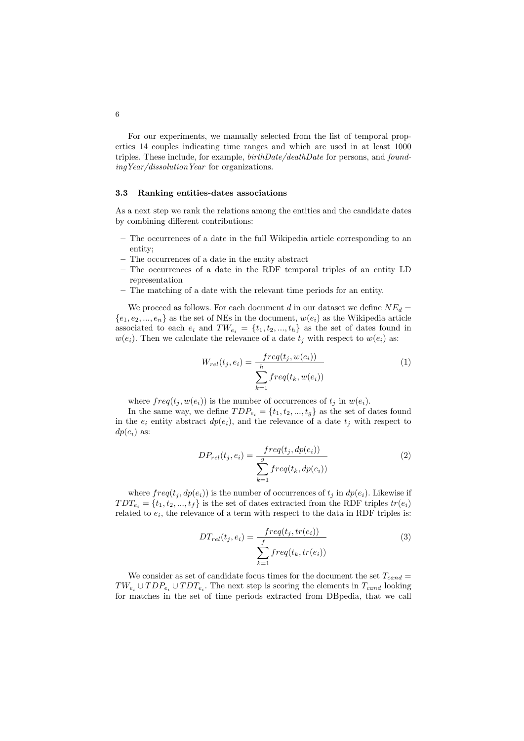For our experiments, we manually selected from the list of temporal properties 14 couples indicating time ranges and which are used in at least 1000 triples. These include, for example, *birthDate/deathDate* for persons, and *foundingYear/dissolutionYear* for organizations.

#### 3.3 Ranking entities-dates associations

As a next step we rank the relations among the entities and the candidate dates by combining different contributions:

- The occurrences of a date in the full Wikipedia article corresponding to an entity;
- The occurrences of a date in the entity abstract
- The occurrences of a date in the RDF temporal triples of an entity LD representation
- The matching of a date with the relevant time periods for an entity.

We proceed as follows. For each document *d* in our dataset we define  $NE_d$  =  ${e_1, e_2, ..., e_n}$  as the set of NEs in the document,  $w(e_i)$  as the Wikipedia article associated to each  $e_i$  and  $TW_{e_i} = \{t_1, t_2, ..., t_h\}$  as the set of dates found in  $w(e_i)$ . Then we calculate the relevance of a date  $t_j$  with respect to  $w(e_i)$  as:

$$
W_{rel}(t_j, e_i) = \frac{freq(t_j, w(e_i))}{\sum_{k=1}^{h} freq(t_k, w(e_i))}
$$
\n(1)

where  $freq(t_j, w(e_i))$  is the number of occurrences of  $t_j$  in  $w(e_i)$ .

In the same way, we define  $TDP_{e_i} = \{t_1, t_2, ..., t_g\}$  as the set of dates found in the  $e_i$  entity abstract  $dp(e_i)$ , and the relevance of a date  $t_j$  with respect to  $dp(e_i)$  as:

$$
DP_{rel}(t_j, e_i) = \frac{freq(t_j, dp(e_i))}{\sum_{k=1}^g freq(t_k, dp(e_i))}
$$
\n
$$
(2)
$$

where  $freq(t_i, dp(e_i))$  is the number of occurrences of  $t_i$  in  $dp(e_i)$ . Likewise if  $TDT_{e_i} = \{t_1, t_2, ..., t_f\}$  is the set of dates extracted from the RDF triples  $tr(e_i)$ related to  $e_i$ , the relevance of a term with respect to the data in RDF triples is:

$$
DT_{rel}(t_j, e_i) = \frac{freq(t_j, tr(e_i))}{\sum_{k=1}^f freq(t_k, tr(e_i))}
$$
(3)

We consider as set of candidate focus times for the document the set  $T_{cand}$  =  $TW_{e_i} \cup TDP_{e_i} \cup TDT_{e_i}$ . The next step is scoring the elements in  $T_{cand}$  looking for matches in the set of time periods extracted from DBpedia, that we call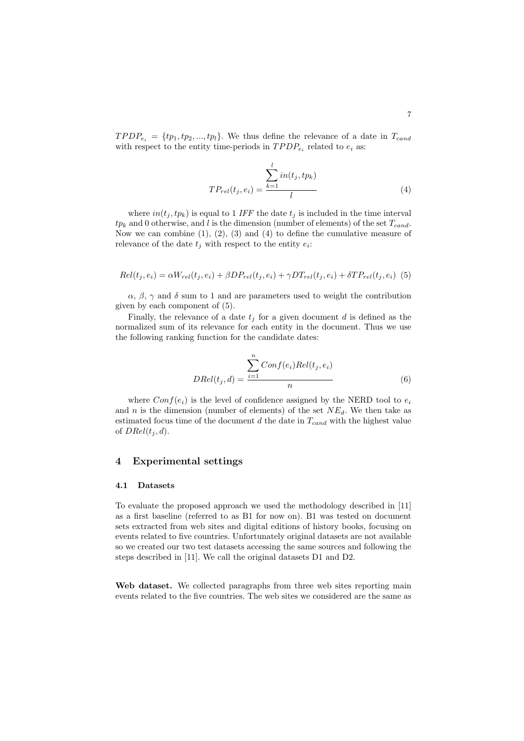$TPDP_{e_i} = \{tp_1, tp_2, ..., tp_l\}$ . We thus define the relevance of a date in  $T_{cand}$ with respect to the entity time-periods in  $TPDP_{e_i}$  related to  $e_i$  as:

$$
TP_{rel}(t_j, e_i) = \frac{\sum_{k=1}^{l} in(t_j, tp_k)}{l}
$$
\n(4)

where  $in(t_j, tp_k)$  is equal to 1 *IFF* the date  $t_j$  is included in the time interval *tp<sup>k</sup>* and 0 otherwise, and *l* is the dimension (number of elements) of the set *Tcand*. Now we can combine  $(1)$ ,  $(2)$ ,  $(3)$  and  $(4)$  to define the cumulative measure of relevance of the date  $t_j$  with respect to the entity  $e_i$ :

$$
Rel(t_j, e_i) = \alpha W_{rel}(t_j, e_i) + \beta DP_{rel}(t_j, e_i) + \gamma DT_{rel}(t_j, e_i) + \delta TP_{rel}(t_j, e_i)
$$
 (5)

 $\alpha$ ,  $\beta$ ,  $\gamma$  and  $\delta$  sum to 1 and are parameters used to weight the contribution given by each component of (5).

Finally, the relevance of a date  $t_i$  for a given document  $d$  is defined as the normalized sum of its relevance for each entity in the document. Thus we use the following ranking function for the candidate dates:

$$
DRel(t_j, d) = \frac{\sum_{i=1}^{n} Conf(e_i)Rel(t_j, e_i)}{n}
$$
\n(6)

where  $Conf(e_i)$  is the level of confidence assigned by the NERD tool to  $e_i$ and *n* is the dimension (number of elements) of the set  $NE_d$ . We then take as estimated focus time of the document *d* the date in *Tcand* with the highest value of  $DRel(t_i, d)$ .

### 4 Experimental settings

#### 4.1 Datasets

To evaluate the proposed approach we used the methodology described in [11] as a first baseline (referred to as B1 for now on). B1 was tested on document sets extracted from web sites and digital editions of history books, focusing on events related to five countries. Unfortunately original datasets are not available so we created our two test datasets accessing the same sources and following the steps described in [11]. We call the original datasets D1 and D2.

Web dataset. We collected paragraphs from three web sites reporting main events related to the five countries. The web sites we considered are the same as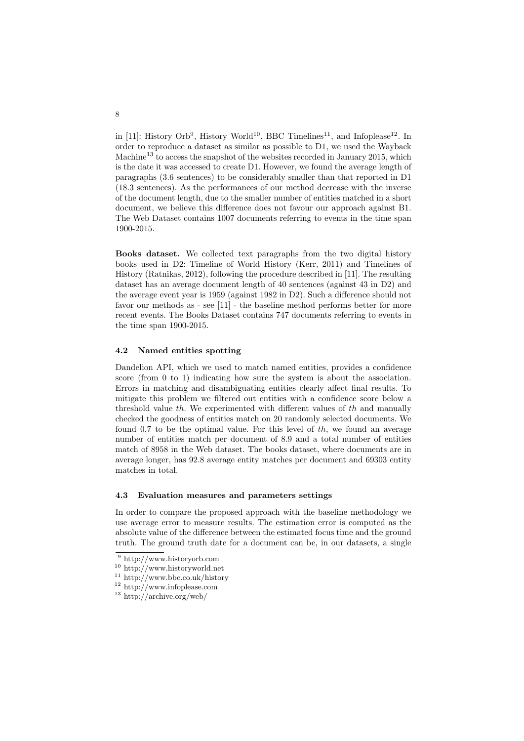in [11]: History Orb<sup>9</sup>, History World<sup>10</sup>, BBC Timelines<sup>11</sup>, and Infoplease<sup>12</sup>. In order to reproduce a dataset as similar as possible to D1, we used the Wayback Machine<sup>13</sup> to access the snapshot of the websites recorded in January 2015, which is the date it was accessed to create D1. However, we found the average length of paragraphs (3.6 sentences) to be considerably smaller than that reported in D1 (18.3 sentences). As the performances of our method decrease with the inverse of the document length, due to the smaller number of entities matched in a short document, we believe this difference does not favour our approach against B1. The Web Dataset contains 1007 documents referring to events in the time span 1900-2015.

Books dataset. We collected text paragraphs from the two digital history books used in D2: Timeline of World History (Kerr, 2011) and Timelines of History (Ratnikas, 2012), following the procedure described in [11]. The resulting dataset has an average document length of 40 sentences (against 43 in D2) and the average event year is  $1959$  (against  $1982$  in D2). Such a difference should not favor our methods as - see [11] - the baseline method performs better for more recent events. The Books Dataset contains 747 documents referring to events in the time span 1900-2015.

# 4.2 Named entities spotting

Dandelion API, which we used to match named entities, provides a confidence score (from 0 to 1) indicating how sure the system is about the association. Errors in matching and disambiguating entities clearly affect final results. To mitigate this problem we filtered out entities with a confidence score below a threshold value  $th$ . We experimented with different values of  $th$  and manually checked the goodness of entities match on 20 randomly selected documents. We found 0.7 to be the optimal value. For this level of *th*, we found an average number of entities match per document of 8.9 and a total number of entities match of 8958 in the Web dataset. The books dataset, where documents are in average longer, has 92.8 average entity matches per document and 69303 entity matches in total.

#### 4.3 Evaluation measures and parameters settings

In order to compare the proposed approach with the baseline methodology we use average error to measure results. The estimation error is computed as the absolute value of the difference between the estimated focus time and the ground truth. The ground truth date for a document can be, in our datasets, a single

<sup>9</sup> http://www.historyorb.com

<sup>10</sup> http://www.historyworld.net

 $11 \text{ http://www.bbc.co.uk/history}$ 

 $^{12}$ http://www.infoplease.com

<sup>13</sup> http://archive.org/web/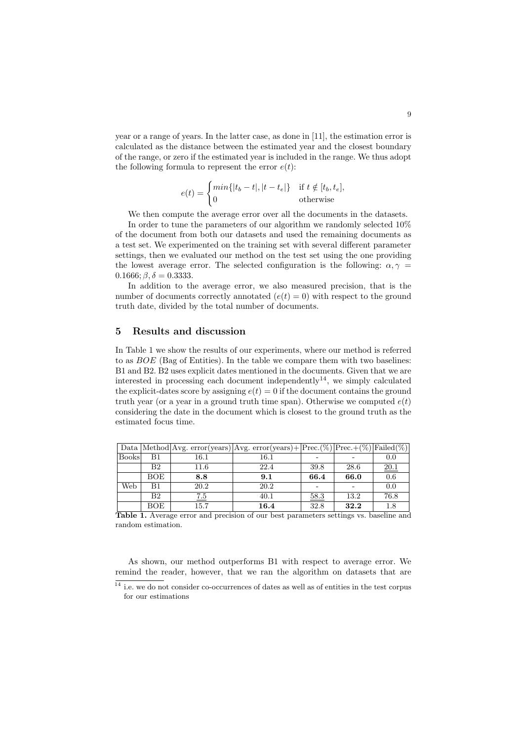year or a range of years. In the latter case, as done in [11], the estimation error is calculated as the distance between the estimated year and the closest boundary of the range, or zero if the estimated year is included in the range. We thus adopt the following formula to represent the error  $e(t)$ :

$$
e(t) = \begin{cases} min\{|t_b - t|, |t - t_e|\} & \text{if } t \notin [t_b, t_e], \\ 0 & \text{otherwise} \end{cases}
$$

We then compute the average error over all the documents in the datasets. In order to tune the parameters of our algorithm we randomly selected 10% of the document from both our datasets and used the remaining documents as a test set. We experimented on the training set with several different parameter settings, then we evaluated our method on the test set using the one providing the lowest average error. The selected configuration is the following:  $\alpha, \gamma$  =  $0.1666; \beta, \delta = 0.3333.$ 

In addition to the average error, we also measured precision, that is the number of documents correctly annotated  $(e(t) = 0)$  with respect to the ground truth date, divided by the total number of documents.

# 5 Results and discussion

In Table 1 we show the results of our experiments, where our method is referred to as *BOE* (Bag of Entities). In the table we compare them with two baselines: B1 and B2. B2 uses explicit dates mentioned in the documents. Given that we are interested in processing each document independently<sup>14</sup>, we simply calculated the explicit-dates score by assigning  $e(t) = 0$  if the document contains the ground truth year (or a year in a ground truth time span). Otherwise we computed  $e(t)$ considering the date in the document which is closest to the ground truth as the estimated focus time.

|              |     |          | Data  Method Avg. error(years) Avg. error(years)+ Prec.(%) Prec.+(%) Failed(%) |      |      |         |
|--------------|-----|----------|--------------------------------------------------------------------------------|------|------|---------|
| <b>Books</b> | B1  | $16.1\,$ | 16.1                                                                           |      |      | 0.0     |
|              | B2  | 11.6     | 22.4                                                                           | 39.8 | 28.6 | 20.1    |
|              | BOE | 8.8      | 9.1                                                                            | 66.4 | 66.0 | 0.6     |
| Web          | B1  | 20.2     | 20.2                                                                           |      |      | 0.0     |
|              | B2  | 7.5      | 40.1                                                                           | 58.3 | 13.2 | 76.8    |
|              | BOE | 15.7     | 16.4                                                                           | 32.8 | 32.2 | $1.8\,$ |

Table 1. Average error and precision of our best parameters settings vs. baseline and random estimation.

As shown, our method outperforms B1 with respect to average error. We remind the reader, however, that we ran the algorithm on datasets that are

 $\frac{14}{14}$  i.e. we do not consider co-occurrences of dates as well as of entities in the test corpus for our estimations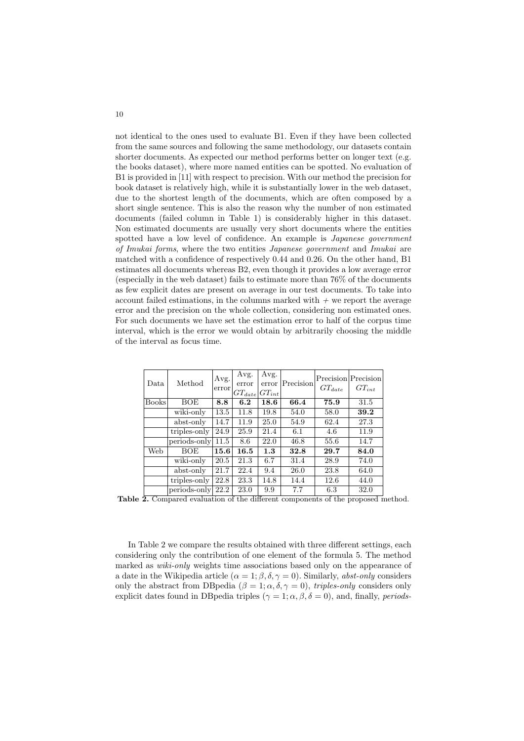not identical to the ones used to evaluate B1. Even if they have been collected from the same sources and following the same methodology, our datasets contain shorter documents. As expected our method performs better on longer text (e.g. the books dataset), where more named entities can be spotted. No evaluation of B1 is provided in [11] with respect to precision. With our method the precision for book dataset is relatively high, while it is substantially lower in the web dataset, due to the shortest length of the documents, which are often composed by a short single sentence. This is also the reason why the number of non estimated documents (failed column in Table 1) is considerably higher in this dataset. Non estimated documents are usually very short documents where the entities spotted have a low level of confidence. An example is *Japanese government of Imukai forms*, where the two entities *Japanese government* and *Imukai* are matched with a confidence of respectively 0.44 and 0.26. On the other hand, B1 estimates all documents whereas B2, even though it provides a low average error (especially in the web dataset) fails to estimate more than 76% of the documents as few explicit dates are present on average in our test documents. To take into account failed estimations, in the columns marked with  $+$  we report the average error and the precision on the whole collection, considering non estimated ones. For such documents we have set the estimation error to half of the corpus time interval, which is the error we would obtain by arbitrarily choosing the middle of the interval as focus time.

| Data         | Method       | Avg.<br>error | Avg.<br>error<br>$GT_{date}$ | Avg.<br>error<br>$ GT_{int} $ | Precision | $GT_{date}$ | Precision Precision<br>$GT_{int}$ |
|--------------|--------------|---------------|------------------------------|-------------------------------|-----------|-------------|-----------------------------------|
| <b>Books</b> | BOE          | 8.8           | 6.2                          | 18.6                          | 66.4      | 75.9        | 31.5                              |
|              | wiki-only    | 13.5          | 11.8                         | 19.8                          | 54.0      | 58.0        | 39.2                              |
|              | abst-only    | 14.7          | 11.9                         | 25.0                          | 54.9      | 62.4        | 27.3                              |
|              | triples-only | 24.9          | 25.9                         | 21.4                          | 6.1       | 4.6         | 11.9                              |
|              | periods-only | 11.5          | 8.6                          | 22.0                          | 46.8      | 55.6        | 14.7                              |
| Web          | <b>BOE</b>   | 15.6          | 16.5                         | 1.3                           | 32.8      | 29.7        | 84.0                              |
|              | wiki-only    | 20.5          | 21.3                         | 6.7                           | 31.4      | 28.9        | 74.0                              |
|              | abst-only    | 21.7          | 22.4                         | 9.4                           | 26.0      | 23.8        | 64.0                              |
|              | triples-only | 22.8          | 23.3                         | 14.8                          | 14.4      | 12.6        | 44.0                              |
|              | periods-only | 22.2          | 23.0                         | 9.9                           | 7.7       | 6.3         | 32.0                              |

Table 2. Compared evaluation of the different components of the proposed method.

In Table 2 we compare the results obtained with three different settings, each considering only the contribution of one element of the formula 5. The method marked as *wiki-only* weights time associations based only on the appearance of a date in the Wikipedia article  $(\alpha = 1; \beta, \delta, \gamma = 0)$ . Similarly, *abst-only* considers only the abstract from DB pedia  $(\beta = 1; \alpha, \delta, \gamma = 0)$ , *triples-only* considers only explicit dates found in DB pedia triples ( $\gamma = 1; \alpha, \beta, \delta = 0$ ), and, finally, *periods*-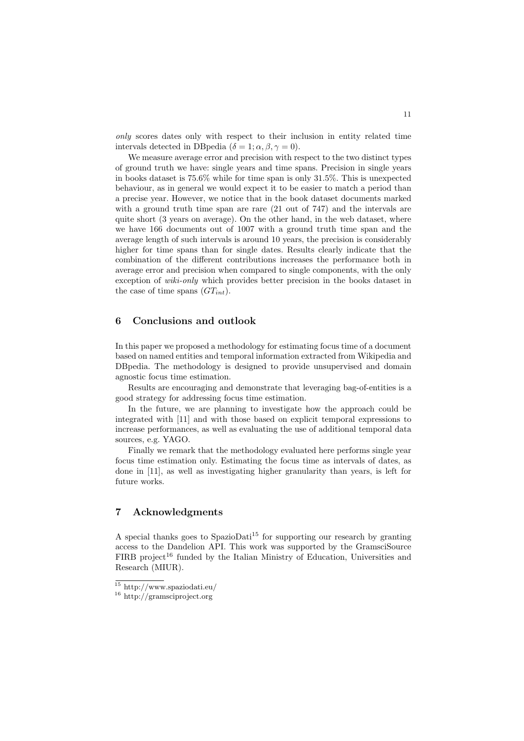*only* scores dates only with respect to their inclusion in entity related time intervals detected in DB pedia ( $\delta = 1; \alpha, \beta, \gamma = 0$ ).

We measure average error and precision with respect to the two distinct types of ground truth we have: single years and time spans. Precision in single years in books dataset is 75.6% while for time span is only 31.5%. This is unexpected behaviour, as in general we would expect it to be easier to match a period than a precise year. However, we notice that in the book dataset documents marked with a ground truth time span are rare  $(21 \text{ out of } 747)$  and the intervals are quite short (3 years on average). On the other hand, in the web dataset, where we have 166 documents out of 1007 with a ground truth time span and the average length of such intervals is around 10 years, the precision is considerably higher for time spans than for single dates. Results clearly indicate that the combination of the different contributions increases the performance both in average error and precision when compared to single components, with the only exception of *wiki-only* which provides better precision in the books dataset in the case of time spans (*GTint*).

# 6 Conclusions and outlook

In this paper we proposed a methodology for estimating focus time of a document based on named entities and temporal information extracted from Wikipedia and DBpedia. The methodology is designed to provide unsupervised and domain agnostic focus time estimation.

Results are encouraging and demonstrate that leveraging bag-of-entities is a good strategy for addressing focus time estimation.

In the future, we are planning to investigate how the approach could be integrated with [11] and with those based on explicit temporal expressions to increase performances, as well as evaluating the use of additional temporal data sources, e.g. YAGO.

Finally we remark that the methodology evaluated here performs single year focus time estimation only. Estimating the focus time as intervals of dates, as done in [11], as well as investigating higher granularity than years, is left for future works.

## 7 Acknowledgments

A special thanks goes to SpazioDati<sup>15</sup> for supporting our research by granting access to the Dandelion API. This work was supported by the GramsciSource  $FIRB$  project<sup>16</sup> funded by the Italian Ministry of Education, Universities and Research (MIUR).

 $\overline{^{15}}$ http://www.spaziodati.eu/

<sup>16</sup> http://gramsciproject.org